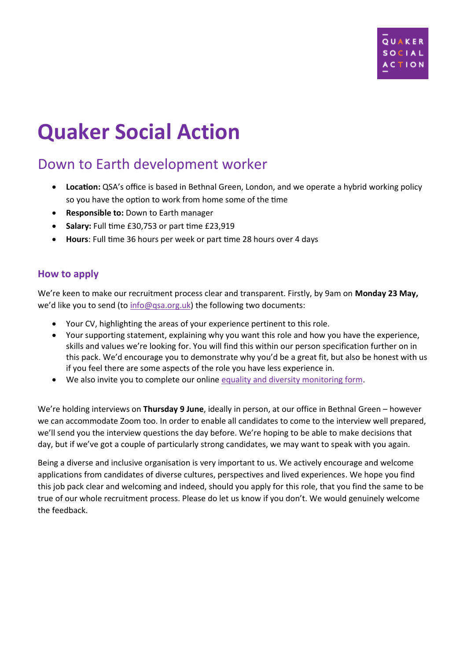

# **Quaker Social Action**

# Down to Earth development worker

- **Location:** QSA's office is based in Bethnal Green, London, and we operate a hybrid working policy so you have the option to work from home some of the time
- **Responsible to:** Down to Earth manager
- **Salary:** Full time £30,753 or part time £23,919
- **Hours**: Full time 36 hours per week or part time 28 hours over 4 days

### **How to apply**

We're keen to make our recruitment process clear and transparent. Firstly, by 9am on **Monday 23 May,** we'd like you to send (to [info@qsa.org.uk\)](mailto:info@qsa.org.uk) the following two documents:

- Your CV, highlighting the areas of your experience pertinent to this role.
- Your supporting statement, explaining why you want this role and how you have the experience, skills and values we're looking for. You will find this within our person specification further on in this pack. We'd encourage you to demonstrate why you'd be a great fit, but also be honest with us if you feel there are some aspects of the role you have less experience in.
- We also invite you to complete our online equality and [diversity monitoring form.](https://www.surveymonkey.co.uk/r/2GT67V3)

We're holding interviews on **Thursday 9 June**, ideally in person, at our office in Bethnal Green – however we can accommodate Zoom too. In order to enable all candidates to come to the interview well prepared, we'll send you the interview questions the day before. We're hoping to be able to make decisions that day, but if we've got a couple of particularly strong candidates, we may want to speak with you again.

Being a diverse and inclusive organisation is very important to us. We actively encourage and welcome applications from candidates of diverse cultures, perspectives and lived experiences. We hope you find this job pack clear and welcoming and indeed, should you apply for this role, that you find the same to be true of our whole recruitment process. Please do let us know if you don't. We would genuinely welcome the feedback.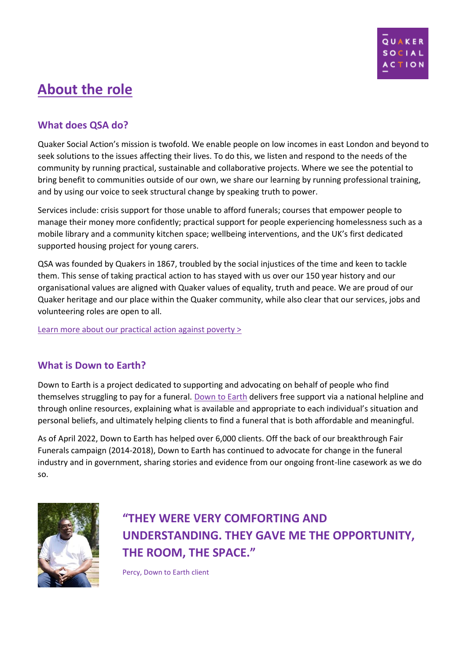

# **About the role**

## **What does QSA do?**

Quaker Social Action's mission is twofold. We enable people on low incomes in east London and beyond to seek solutions to the issues affecting their lives. To do this, we listen and respond to the needs of the community by running practical, sustainable and collaborative projects. Where we see the potential to bring benefit to communities outside of our own, we share our learning by running professional training, and by using our voice to seek structural change by speaking truth to power.

Services include: crisis support for those unable to afford funerals; courses that empower people to manage their money more confidently; practical support for people experiencing homelessness such as a mobile library and a community kitchen space; wellbeing interventions, and the UK's first dedicated supported housing project for young carers.

QSA was founded by Quakers in 1867, troubled by the social injustices of the time and keen to tackle them. This sense of taking practical action to has stayed with us over our 150 year history and our organisational values are aligned with Quaker values of equality, truth and peace. We are proud of our Quaker heritage and our place within the Quaker community, while also clear that our services, jobs and volunteering roles are open to all.

[Learn more about our practical action against poverty >](http://www.quakersocialaction.org.uk/)

### **What is Down to Earth?**

Down to Earth is a project dedicated to supporting and advocating on behalf of people who find themselves struggling to pay for a funeral. [Down to Earth](https://quakersocialaction.org.uk/we-can-help/helping-funerals/down-earth) delivers free support via a national helpline and through online resources, explaining what is available and appropriate to each individual's situation and personal beliefs, and ultimately helping clients to find a funeral that is both affordable and meaningful.

As of April 2022, Down to Earth has helped over 6,000 clients. Off the back of our breakthrough Fair Funerals campaign (2014-2018), Down to Earth has continued to advocate for change in the funeral industry and in government, sharing stories and evidence from our ongoing front-line casework as we do so.



# **"THEY WERE VERY COMFORTING AND UNDERSTANDING. THEY GAVE ME THE OPPORTUNITY, THE ROOM, THE SPACE."**

Percy, Down to Earth client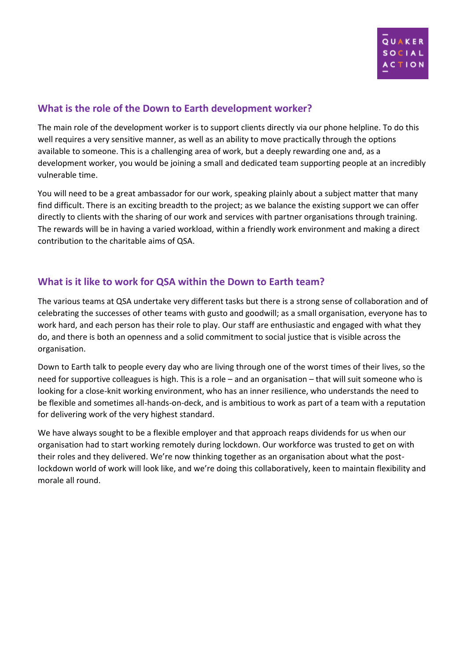

### **What is the role of the Down to Earth development worker?**

The main role of the development worker is to support clients directly via our phone helpline. To do this well requires a very sensitive manner, as well as an ability to move practically through the options available to someone. This is a challenging area of work, but a deeply rewarding one and, as a development worker, you would be joining a small and dedicated team supporting people at an incredibly vulnerable time.

You will need to be a great ambassador for our work, speaking plainly about a subject matter that many find difficult. There is an exciting breadth to the project; as we balance the existing support we can offer directly to clients with the sharing of our work and services with partner organisations through training. The rewards will be in having a varied workload, within a friendly work environment and making a direct contribution to the charitable aims of QSA.

### **What is it like to work for QSA within the Down to Earth team?**

The various teams at QSA undertake very different tasks but there is a strong sense of collaboration and of celebrating the successes of other teams with gusto and goodwill; as a small organisation, everyone has to work hard, and each person has their role to play. Our staff are enthusiastic and engaged with what they do, and there is both an openness and a solid commitment to social justice that is visible across the organisation.

Down to Earth talk to people every day who are living through one of the worst times of their lives, so the need for supportive colleagues is high. This is a role – and an organisation – that will suit someone who is looking for a close-knit working environment, who has an inner resilience, who understands the need to be flexible and sometimes all-hands-on-deck, and is ambitious to work as part of a team with a reputation for delivering work of the very highest standard.

We have always sought to be a flexible employer and that approach reaps dividends for us when our organisation had to start working remotely during lockdown. Our workforce was trusted to get on with their roles and they delivered. We're now thinking together as an organisation about what the postlockdown world of work will look like, and we're doing this collaboratively, keen to maintain flexibility and morale all round.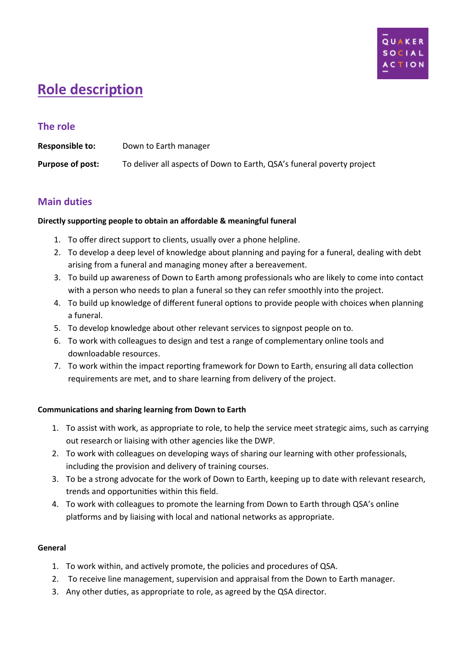

# **Role description**

### **The role**

| <b>Responsible to:</b> | Down to Earth manager                                                  |
|------------------------|------------------------------------------------------------------------|
| Purpose of post:       | To deliver all aspects of Down to Earth, QSA's funeral poverty project |

### **Main duties**

#### **Directly supporting people to obtain an affordable & meaningful funeral**

- 1. To offer direct support to clients, usually over a phone helpline.
- 2. To develop a deep level of knowledge about planning and paying for a funeral, dealing with debt arising from a funeral and managing money after a bereavement.
- 3. To build up awareness of Down to Earth among professionals who are likely to come into contact with a person who needs to plan a funeral so they can refer smoothly into the project.
- 4. To build up knowledge of different funeral options to provide people with choices when planning a funeral.
- 5. To develop knowledge about other relevant services to signpost people on to.
- 6. To work with colleagues to design and test a range of complementary online tools and downloadable resources.
- 7. To work within the impact reporting framework for Down to Earth, ensuring all data collection requirements are met, and to share learning from delivery of the project.

#### **Communications and sharing learning from Down to Earth**

- 1. To assist with work, as appropriate to role, to help the service meet strategic aims, such as carrying out research or liaising with other agencies like the DWP.
- 2. To work with colleagues on developing ways of sharing our learning with other professionals, including the provision and delivery of training courses.
- 3. To be a strong advocate for the work of Down to Earth, keeping up to date with relevant research, trends and opportunities within this field.
- 4. To work with colleagues to promote the learning from Down to Earth through QSA's online platforms and by liaising with local and national networks as appropriate.

#### **General**

- 1. To work within, and actively promote, the policies and procedures of QSA.
- 2. To receive line management, supervision and appraisal from the Down to Earth manager.
- 3. Any other duties, as appropriate to role, as agreed by the QSA director.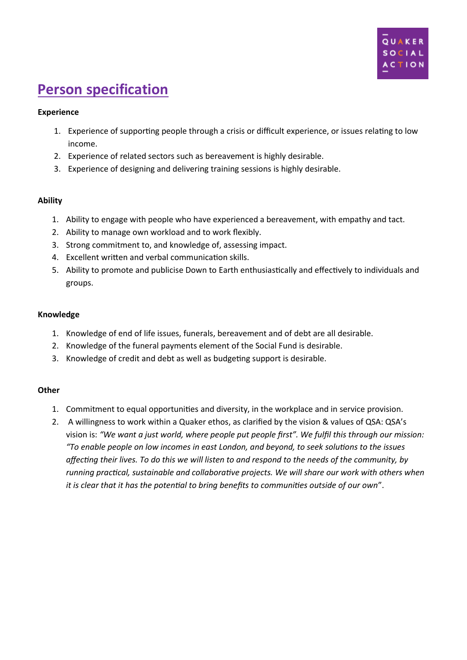

# **Person specification**

#### **Experience**

- 1. Experience of supporting people through a crisis or difficult experience, or issues relating to low income.
- 2. Experience of related sectors such as bereavement is highly desirable.
- 3. Experience of designing and delivering training sessions is highly desirable.

#### **Ability**

- 1. Ability to engage with people who have experienced a bereavement, with empathy and tact.
- 2. Ability to manage own workload and to work flexibly.
- 3. Strong commitment to, and knowledge of, assessing impact.
- 4. Excellent written and verbal communication skills.
- 5. Ability to promote and publicise Down to Earth enthusiastically and effectively to individuals and groups.

#### **Knowledge**

- 1. Knowledge of end of life issues, funerals, bereavement and of debt are all desirable.
- 2. Knowledge of the funeral payments element of the Social Fund is desirable.
- 3. Knowledge of credit and debt as well as budgeting support is desirable.

#### **Other**

- 1. Commitment to equal opportunities and diversity, in the workplace and in service provision.
- 2. A willingness to work within a Quaker ethos, as clarified by the vision & values of QSA: QSA's vision is: *"We want a just world, where people put people first". We fulfil this through our mission: "To enable people on low incomes in east London, and beyond, to seek solutions to the issues affecting their lives. To do this we will listen to and respond to the needs of the community, by running practical, sustainable and collaborative projects. We will share our work with others when it is clear that it has the potential to bring benefits to communities outside of our own*".